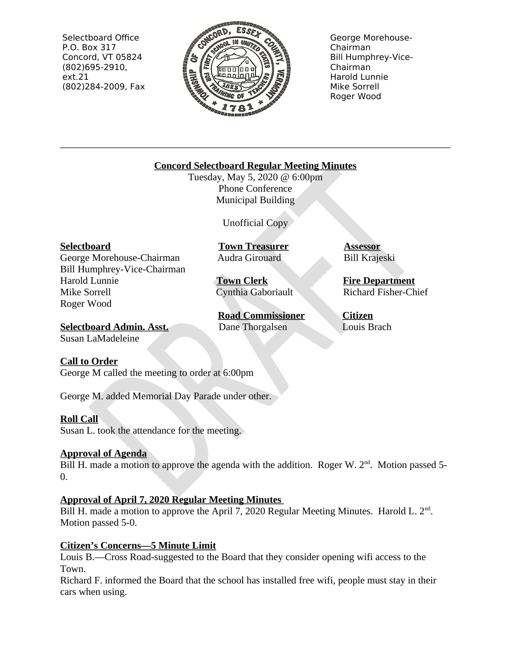Selectboard Office P.O. Box 317 Concord, VT 05824  $(802)695-2910,$  $ext.21$ (802)284-2009, Fax



George Morehouse-Chairman **Bill Humphrey-Vice-**Chairman Harold Lunnie Mike Sorrell Roger Wood

## **Concord Selectboard Regular Meeting Minutes**

Tuesday, May 5, 2020 @ 6:00pm **Phone Conference** Municipal Building

Unofficial Copy

### **Selectboard**

George Morehouse-Chairman Bill Humphrey-Vice-Chairman Harold Lunnie Mike Sorrell Roger Wood

**Town Treasurer** Audra Girouard

**Town Clerk** Cynthia Gaboriault

**Road Commissioner** Dane Thorgalsen

**Assessor Bill Krajeski** 

**Fire Department Richard Fisher-Chief** 

Citizen Louis Brach

**Selectboard Admin. Asst.** Susan LaMadeleine

### **Call to Order**

George M called the meeting to order at 6:00pm

George M. added Memorial Day Parade under other.

# **Roll Call**

Susan L. took the attendance for the meeting.

# **Approval of Agenda**

Bill H, made a motion to approve the agenda with the addition. Roger W,  $2<sup>nd</sup>$ . Motion passed 5- $0.$ 

# **Approval of April 7, 2020 Regular Meeting Minutes**

Bill H. made a motion to approve the April 7, 2020 Regular Meeting Minutes. Harold L. 2<sup>nd</sup>. Motion passed 5-0.

# **Citizen's Concerns-5 Minute Limit**

Louis B.—Cross Road-suggested to the Board that they consider opening wifi access to the Town.

Richard F, informed the Board that the school has installed free wifi, people must stay in their cars when using.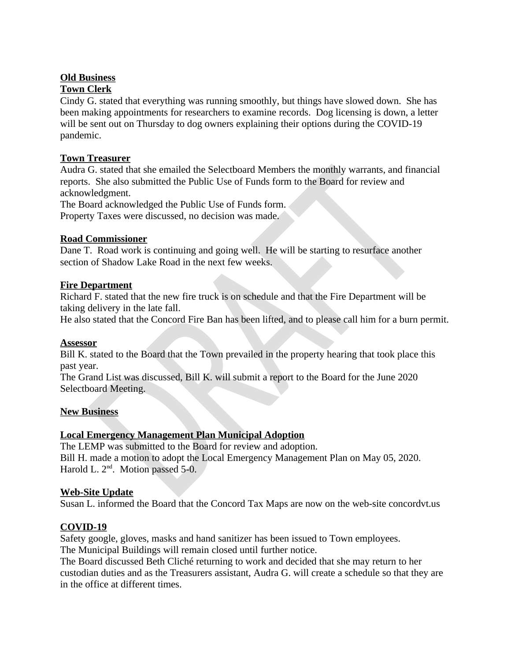### **Old Business**

## **Town Clerk**

Cindy G. stated that everything was running smoothly, but things have slowed down. She has been making appointments for researchers to examine records. Dog licensing is down, a letter will be sent out on Thursday to dog owners explaining their options during the COVID-19 pandemic.

### **Town Treasurer**

Audra G. stated that she emailed the Selectboard Members the monthly warrants, and financial reports. She also submitted the Public Use of Funds form to the Board for review and acknowledgment.

The Board acknowledged the Public Use of Funds form. Property Taxes were discussed, no decision was made.

### **Road Commissioner**

Dane T. Road work is continuing and going well. He will be starting to resurface another section of Shadow Lake Road in the next few weeks.

## **Fire Department**

Richard F. stated that the new fire truck is on schedule and that the Fire Department will be taking delivery in the late fall.

He also stated that the Concord Fire Ban has been lifted, and to please call him for a burn permit.

### **Assessor**

Bill K, stated to the Board that the Town prevailed in the property hearing that took place this past year.

The Grand List was discussed, Bill K. will submit a report to the Board for the June 2020 Selectboard Meeting.

### **New Business**

# **Local Emergency Management Plan Municipal Adoption**

The LEMP was submitted to the Board for review and adoption. Bill H. made a motion to adopt the Local Emergency Management Plan on May 05, 2020. Harold L. 2<sup>nd</sup>. Motion passed 5-0.

### **Web-Site Update**

Susan L. informed the Board that the Concord Tax Maps are now on the web-site concordvt.us

# COVID-19

Safety google, gloves, masks and hand sanitizer has been issued to Town employees. The Municipal Buildings will remain closed until further notice.

The Board discussed Beth Cliché returning to work and decided that she may return to her custodian duties and as the Treasurers assistant, Audra G. will create a schedule so that they are in the office at different times.